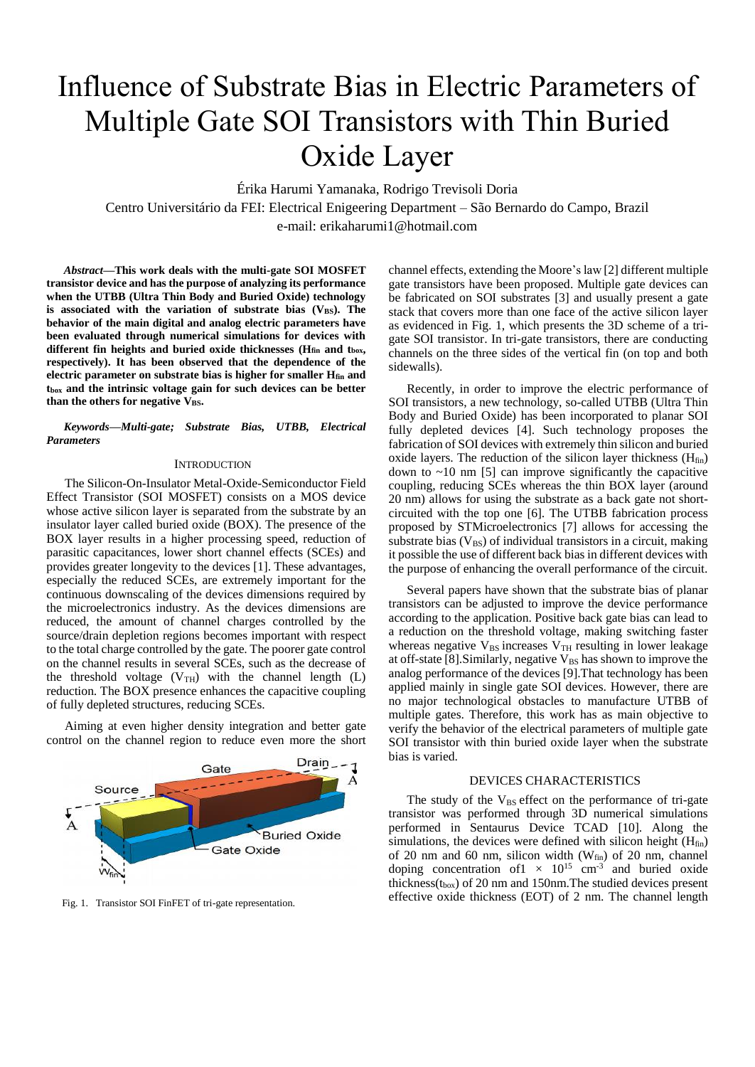# Influence of Substrate Bias in Electric Parameters of Multiple Gate SOI Transistors with Thin Buried Oxide Layer

Érika Harumi Yamanaka, Rodrigo Trevisoli Doria Centro Universitário da FEI: Electrical Enigeering Department – São Bernardo do Campo, Brazil e-mail: erikaharumi1@hotmail.com

*Abstract***—This work deals with the multi-gate SOI MOSFET transistor device and has the purpose of analyzing its performance when the UTBB (Ultra Thin Body and Buried Oxide) technology**  is associated with the variation of substrate bias (V<sub>BS</sub>). The **behavior of the main digital and analog electric parameters have been evaluated through numerical simulations for devices with different fin heights and buried oxide thicknesses (Hfin and tbox, respectively). It has been observed that the dependence of the electric parameter on substrate bias is higher for smaller Hfin and tbox and the intrinsic voltage gain for such devices can be better than the others for negative VBS.**

*Keywords—Multi-gate; Substrate Bias, UTBB, Electrical Parameters*

### **INTRODUCTION**

The Silicon-On-Insulator Metal-Oxide-Semiconductor Field Effect Transistor (SOI MOSFET) consists on a MOS device whose active silicon layer is separated from the substrate by an insulator layer called buried oxide (BOX). The presence of the BOX layer results in a higher processing speed, reduction of parasitic capacitances, lower short channel effects (SCEs) and provides greater longevity to the devices [1]. These advantages, especially the reduced SCEs, are extremely important for the continuous downscaling of the devices dimensions required by the microelectronics industry. As the devices dimensions are reduced, the amount of channel charges controlled by the source/drain depletion regions becomes important with respect to the total charge controlled by the gate. The poorer gate control on the channel results in several SCEs, such as the decrease of the threshold voltage  $(V_{TH})$  with the channel length (L) reduction. The BOX presence enhances the capacitive coupling of fully depleted structures, reducing SCEs.

Aiming at even higher density integration and better gate control on the channel region to reduce even more the short



channel effects, extending the Moore's law [2] different multiple gate transistors have been proposed. Multiple gate devices can be fabricated on SOI substrates [3] and usually present a gate stack that covers more than one face of the active silicon layer as evidenced in Fig. 1, which presents the 3D scheme of a trigate SOI transistor. In tri-gate transistors, there are conducting channels on the three sides of the vertical fin (on top and both sidewalls).

Recently, in order to improve the electric performance of SOI transistors, a new technology, so-called UTBB (Ultra Thin Body and Buried Oxide) has been incorporated to planar SOI fully depleted devices [4]. Such technology proposes the fabrication of SOI devices with extremely thin silicon and buried oxide layers. The reduction of the silicon layer thickness  $(H<sub>fin</sub>)$ down to  $\sim$ 10 nm [5] can improve significantly the capacitive coupling, reducing SCEs whereas the thin BOX layer (around 20 nm) allows for using the substrate as a back gate not shortcircuited with the top one [6]. The UTBB fabrication process proposed by STMicroelectronics [7] allows for accessing the substrate bias  $(V_{BS})$  of individual transistors in a circuit, making it possible the use of different back bias in different devices with the purpose of enhancing the overall performance of the circuit.

Several papers have shown that the substrate bias of planar transistors can be adjusted to improve the device performance according to the application. Positive back gate bias can lead to a reduction on the threshold voltage, making switching faster whereas negative  $V_{BS}$  increases  $V_{TH}$  resulting in lower leakage at off-state [8]. Similarly, negative V<sub>BS</sub> has shown to improve the analog performance of the devices [9].That technology has been applied mainly in single gate SOI devices. However, there are no major technological obstacles to manufacture UTBB of multiple gates. Therefore, this work has as main objective to verify the behavior of the electrical parameters of multiple gate SOI transistor with thin buried oxide layer when the substrate bias is varied.

## DEVICES CHARACTERISTICS

The study of the  $V_{BS}$  effect on the performance of tri-gate transistor was performed through 3D numerical simulations performed in Sentaurus Device TCAD [10]. Along the simulations, the devices were defined with silicon height  $(H<sub>fin</sub>)$ of 20 nm and 60 nm, silicon width ( $W_{fin}$ ) of 20 nm, channel doping concentration of  $1 \times 10^{15}$  cm<sup>-3</sup> and buried oxide thickness( $t_{box}$ ) of 20 nm and 150nm. The studied devices present Fig. 1. Transistor SOI FinFET of tri-gate representation. effective oxide thickness (EOT) of 2 nm. The channel length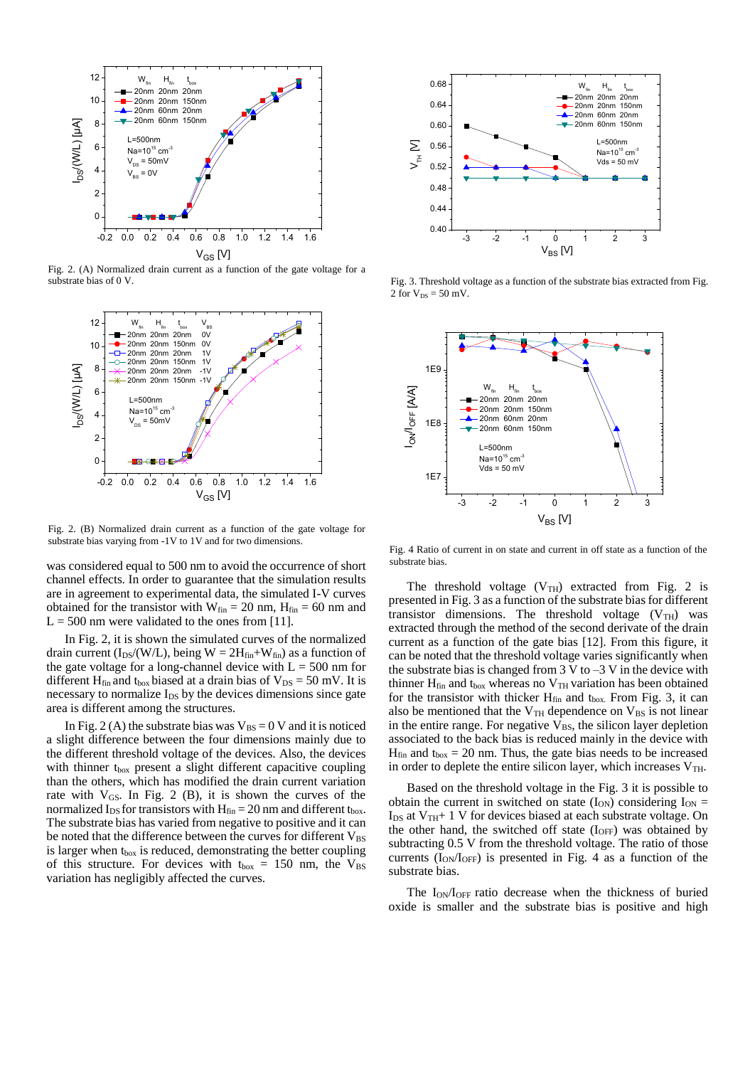

Fig. 2. (A) Normalized drain current as a function of the gate voltage for a substrate bias of 0 V.



Fig. 2. (B) Normalized drain current as a function of the gate voltage for substrate bias varying from -1V to 1V and for two dimensions.

was considered equal to 500 nm to avoid the occurrence of short channel effects. In order to guarantee that the simulation results are in agreement to experimental data, the simulated I-V curves obtained for the transistor with  $W_{fin} = 20$  nm,  $H_{fin} = 60$  nm and  $L = 500$  nm were validated to the ones from [11].

In Fig. 2, it is shown the simulated curves of the normalized drain current ( $I_{DS}/(W/L)$ , being  $W = 2H_{fin}+W_{fin}$ ) as a function of the gate voltage for a long-channel device with  $L = 500$  nm for different H<sub>fin</sub> and t<sub>box</sub> biased at a drain bias of  $V_{DS} = 50$  mV. It is necessary to normalize I<sub>DS</sub> by the devices dimensions since gate area is different among the structures.

In Fig. 2 (A) the substrate bias was  $V_{BS} = 0$  V and it is noticed a slight difference between the four dimensions mainly due to the different threshold voltage of the devices. Also, the devices with thinner  $t_{box}$  present a slight different capacitive coupling than the others, which has modified the drain current variation rate with  $V_{GS}$ . In Fig. 2 (B), it is shown the curves of the normalized  $I_{DS}$  for transistors with  $H_{fin} = 20$  nm and different t<sub>box</sub>. The substrate bias has varied from negative to positive and it can be noted that the difference between the curves for different  $V_{BS}$ is larger when t<sub>box</sub> is reduced, demonstrating the better coupling of this structure. For devices with  $t_{box} = 150$  nm, the  $V_{BS}$ variation has negligibly affected the curves.



Fig. 3. Threshold voltage as a function of the substrate bias extracted from Fig. 2 for  $V_{DS} = 50$  mV.



Fig. 4 Ratio of current in on state and current in off state as a function of the substrate bias.

The threshold voltage  $(V_{TH})$  extracted from Fig. 2 is presented in Fig. 3 as a function of the substrate bias for different transistor dimensions. The threshold voltage  $(V_{TH})$  was extracted through the method of the second derivate of the drain current as a function of the gate bias [12]. From this figure, it can be noted that the threshold voltage varies significantly when the substrate bias is changed from  $3 \text{ V}$  to  $-3 \text{ V}$  in the device with thinner  $H_{fin}$  and t<sub>box</sub> whereas no  $V_{TH}$  variation has been obtained for the transistor with thicker  $H_{fin}$  and  $t_{box}$ . From Fig. 3, it can also be mentioned that the  $V<sub>TH</sub>$  dependence on  $V<sub>BS</sub>$  is not linear in the entire range. For negative  $V_{BS}$ , the silicon layer depletion associated to the back bias is reduced mainly in the device with  $H_{fin}$  and  $t_{box} = 20$  nm. Thus, the gate bias needs to be increased in order to deplete the entire silicon layer, which increases  $V<sub>TH</sub>$ .

Based on the threshold voltage in the Fig. 3 it is possible to obtain the current in switched on state  $(I_{ON})$  considering  $I_{ON}$  =  $I_{DS}$  at  $V_{TH}$ + 1 V for devices biased at each substrate voltage. On the other hand, the switched off state  $(I<sub>OFF</sub>)$  was obtained by subtracting 0.5 V from the threshold voltage. The ratio of those currents  $(I_{ON}/I_{OFF})$  is presented in Fig. 4 as a function of the substrate bias.

The I<sub>ON</sub>/I<sub>OFF</sub> ratio decrease when the thickness of buried oxide is smaller and the substrate bias is positive and high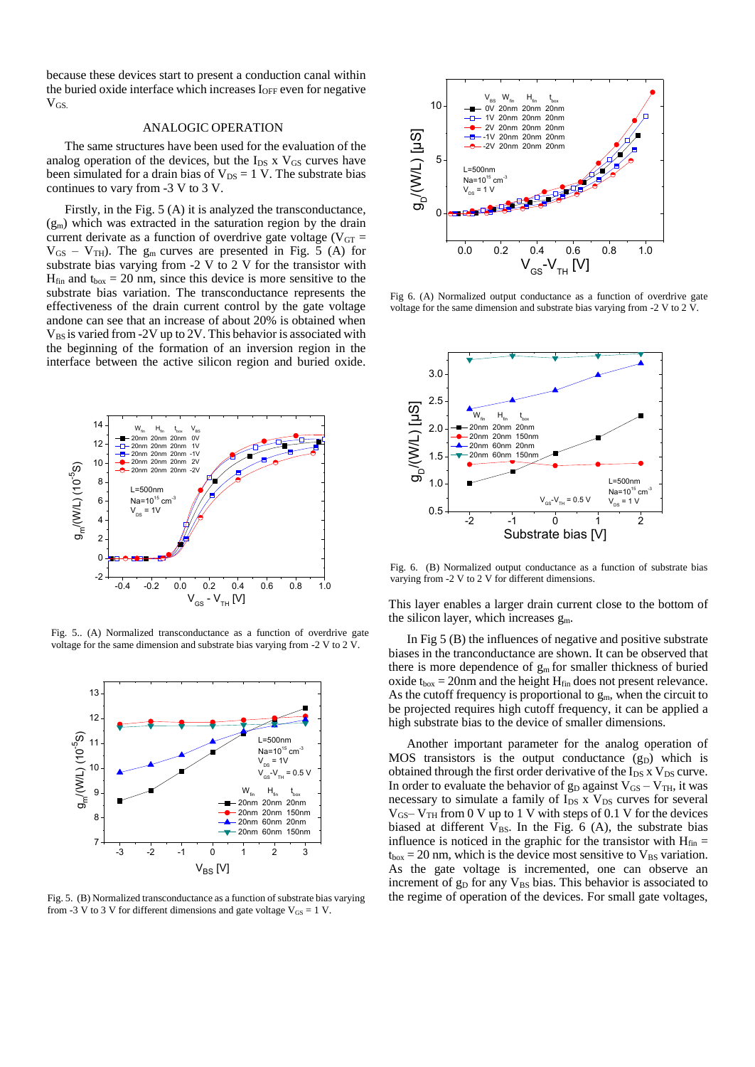because these devices start to present a conduction canal within the buried oxide interface which increases  $I_{OFF}$  even for negative  $V_{GS}$ 

# ANALOGIC OPERATION

The same structures have been used for the evaluation of the analog operation of the devices, but the  $I_{DS}$  x  $V_{GS}$  curves have been simulated for a drain bias of  $V_{DS} = 1$  V. The substrate bias continues to vary from -3 V to 3 V.

Firstly, in the Fig. 5 (A) it is analyzed the transconductance,  $(g<sub>m</sub>)$  which was extracted in the saturation region by the drain current derivate as a function of overdrive gate voltage ( $V_{GT}$  =  $V_{GS} - V_{TH}$ ). The  $g_m$  curves are presented in Fig. 5 (A) for substrate bias varying from -2 V to 2 V for the transistor with  $H_{fin}$  and  $t_{box} = 20$  nm, since this device is more sensitive to the substrate bias variation. The transconductance represents the effectiveness of the drain current control by the gate voltage andone can see that an increase of about 20% is obtained when  $V_{BS}$  is varied from -2V up to 2V. This behavior is associated with the beginning of the formation of an inversion region in the interface between the active silicon region and buried oxide.



Fig. 5.. (A) Normalized transconductance as a function of overdrive gate voltage for the same dimension and substrate bias varying from -2 V to 2 V.



Fig. 5. (B) Normalized transconductance as a function of substrate bias varying from -3 V to 3 V for different dimensions and gate voltage  $V_{GS} = 1$  V.



Fig 6. (A) Normalized output conductance as a function of overdrive gate voltage for the same dimension and substrate bias varying from -2 V to 2 V.



Fig. 6. (B) Normalized output conductance as a function of substrate bias varying from -2 V to 2 V for different dimensions.

This layer enables a larger drain current close to the bottom of the silicon layer, which increases  $g_m$ .

In Fig 5 (B) the influences of negative and positive substrate biases in the tranconductance are shown. It can be observed that there is more dependence of  $g_m$  for smaller thickness of buried oxide  $t_{box} = 20$ nm and the height  $H_{fin}$  does not present relevance. As the cutoff frequency is proportional to  $g_m$ , when the circuit to be projected requires high cutoff frequency, it can be applied a high substrate bias to the device of smaller dimensions.

Another important parameter for the analog operation of  $MOS$  transistors is the output conductance  $(g_D)$  which is obtained through the first order derivative of the  $I_{DS}$  x  $V_{DS}$  curve. In order to evaluate the behavior of  $g_D$  against  $V_{GS} - V_{TH}$ , it was necessary to simulate a family of  $I_{DS}$  x  $V_{DS}$  curves for several  $V_{GS}-V_{TH}$  from 0 V up to 1 V with steps of 0.1 V for the devices biased at different  $V_{BS}$ . In the Fig. 6 (A), the substrate bias influence is noticed in the graphic for the transistor with  $H_{fin}$  =  $t_{box} = 20$  nm, which is the device most sensitive to  $V_{BS}$  variation. As the gate voltage is incremented, one can observe an increment of g<sub>D</sub> for any V<sub>BS</sub> bias. This behavior is associated to the regime of operation of the devices. For small gate voltages,